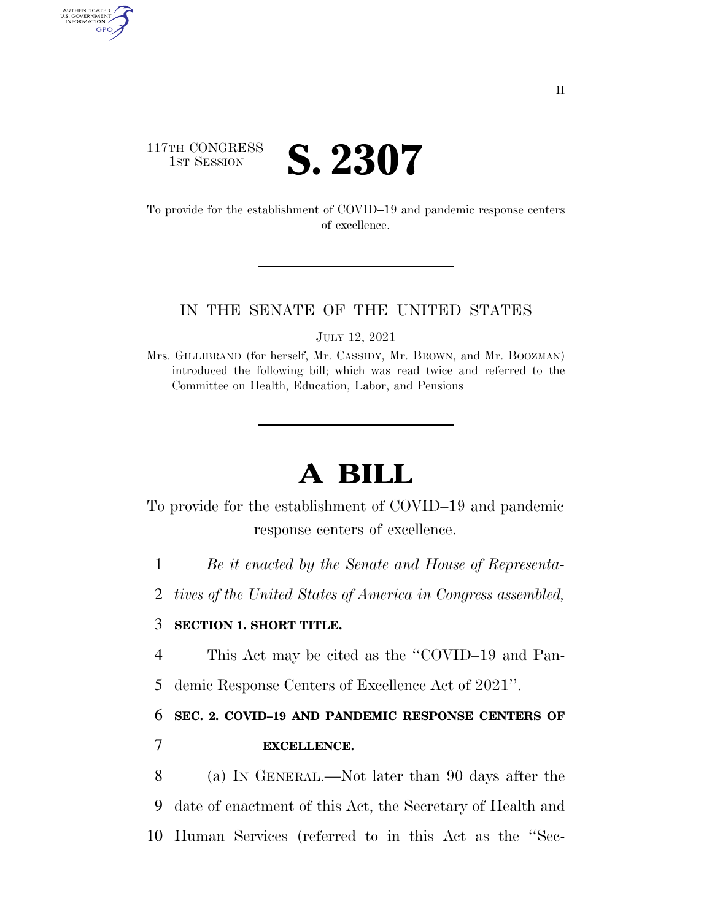### 117TH CONGRESS **1ST SESSION S. 2307**

AUTHENTICATED<br>U.S. GOVERNMENT<br>INFORMATION GPO

> To provide for the establishment of COVID–19 and pandemic response centers of excellence.

#### IN THE SENATE OF THE UNITED STATES

JULY 12, 2021

Mrs. GILLIBRAND (for herself, Mr. CASSIDY, Mr. BROWN, and Mr. BOOZMAN) introduced the following bill; which was read twice and referred to the Committee on Health, Education, Labor, and Pensions

# **A BILL**

To provide for the establishment of COVID–19 and pandemic response centers of excellence.

1 *Be it enacted by the Senate and House of Representa-*

2 *tives of the United States of America in Congress assembled,* 

### 3 **SECTION 1. SHORT TITLE.**

4 This Act may be cited as the ''COVID–19 and Pan-

5 demic Response Centers of Excellence Act of 2021''.

6 **SEC. 2. COVID–19 AND PANDEMIC RESPONSE CENTERS OF** 

7 **EXCELLENCE.** 

8 (a) IN GENERAL.—Not later than 90 days after the 9 date of enactment of this Act, the Secretary of Health and 10 Human Services (referred to in this Act as the ''Sec-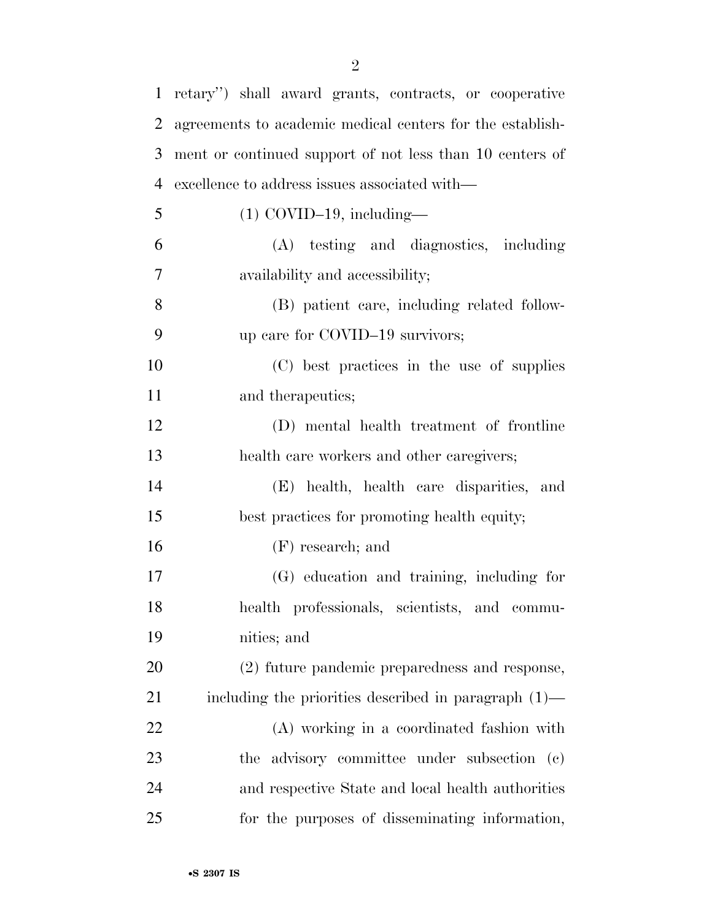| $\mathbf{1}$   | retary") shall award grants, contracts, or cooperative    |
|----------------|-----------------------------------------------------------|
| $\overline{2}$ | agreements to academic medical centers for the establish- |
| 3              | ment or continued support of not less than 10 centers of  |
| 4              | excellence to address issues associated with—             |
| 5              | $(1)$ COVID-19, including-                                |
| 6              | (A) testing and diagnostics, including                    |
| 7              | availability and accessibility;                           |
| 8              | (B) patient care, including related follow-               |
| 9              | up care for COVID-19 survivors;                           |
| 10             | (C) best practices in the use of supplies                 |
| 11             | and therapeutics;                                         |
| 12             | (D) mental health treatment of frontline                  |
| 13             | health care workers and other caregivers;                 |
| 14             | (E) health, health care disparities, and                  |
| 15             | best practices for promoting health equity;               |
| 16             | $(F)$ research; and                                       |
| 17             | (G) education and training, including for                 |
| 18             | health professionals, scientists, and commu-              |
| 19             | nities; and                                               |
| 20             | (2) future pandemic preparedness and response,            |
| 21             | including the priorities described in paragraph $(1)$ —   |
| 22             | (A) working in a coordinated fashion with                 |
| 23             | the advisory committee under subsection (c)               |
| 24             | and respective State and local health authorities         |
| 25             | for the purposes of disseminating information,            |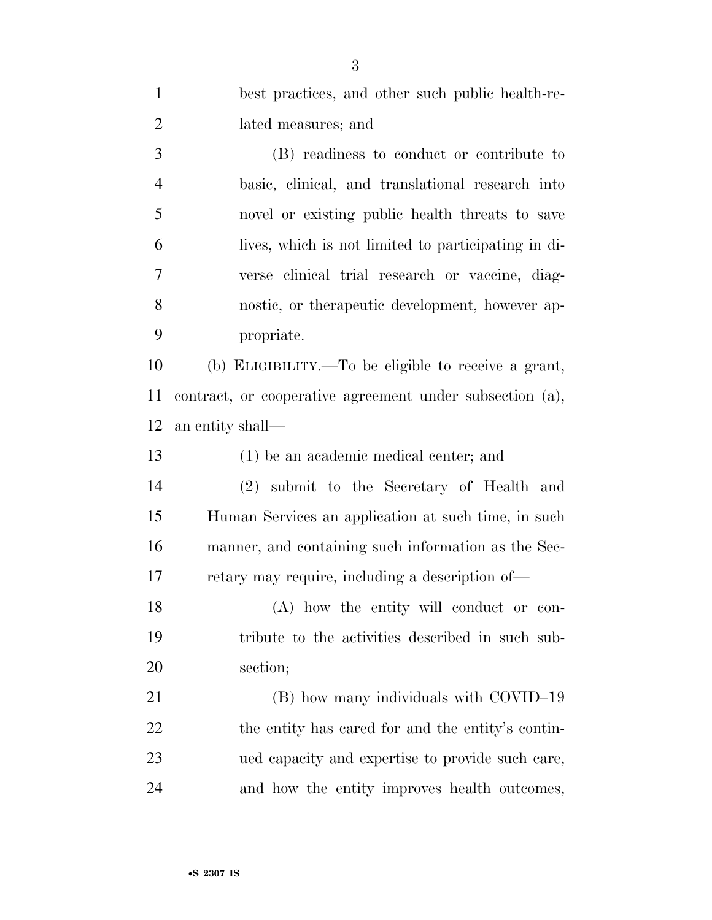| $\mathbf{1}$   | best practices, and other such public health-re-         |
|----------------|----------------------------------------------------------|
| $\overline{2}$ | lated measures; and                                      |
| 3              | (B) readiness to conduct or contribute to                |
| $\overline{4}$ | basic, clinical, and translational research into         |
| 5              | novel or existing public health threats to save          |
| 6              | lives, which is not limited to participating in di-      |
| 7              | verse clinical trial research or vaccine, diag-          |
| 8              | nostic, or the rappeutic development, however ap-        |
| 9              | propriate.                                               |
| 10             | (b) ELIGIBILITY.—To be eligible to receive a grant,      |
| 11             | contract, or cooperative agreement under subsection (a), |
| 12             | an entity shall—                                         |
| 13             | $(1)$ be an academic medical center; and                 |
|                |                                                          |
| 14             | (2) submit to the Secretary of Health and                |
| 15             | Human Services an application at such time, in such      |
| 16             | manner, and containing such information as the Sec-      |
| 17             | retary may require, including a description of—          |
| 18             | (A) how the entity will conduct or con-                  |
| 19             | tribute to the activities described in such sub-         |
| 20             | section;                                                 |
| 21             | (B) how many individuals with COVID-19                   |
| 22             | the entity has cared for and the entity's contin-        |
| 23             | ued capacity and expertise to provide such care,         |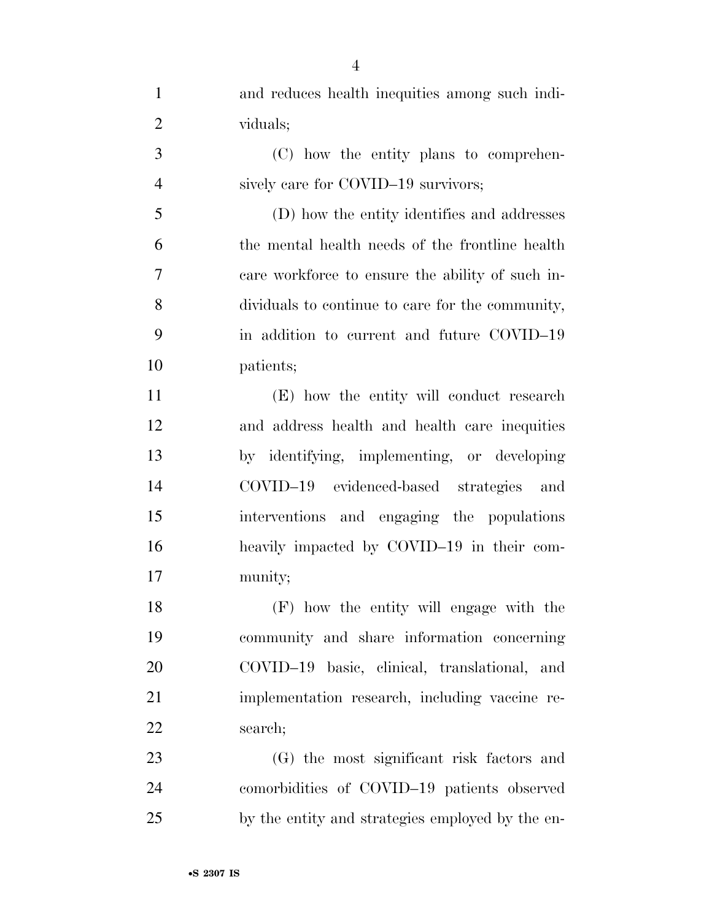| $\mathbf{1}$   | and reduces health inequities among such indi-   |
|----------------|--------------------------------------------------|
| $\overline{2}$ | viduals;                                         |
| 3              | (C) how the entity plans to comprehen-           |
| $\overline{4}$ | sively care for COVID-19 survivors;              |
| 5              | (D) how the entity identifies and addresses      |
| 6              | the mental health needs of the frontline health  |
| 7              | care workforce to ensure the ability of such in- |
| 8              | dividuals to continue to care for the community, |
| 9              | in addition to current and future COVID-19       |
| 10             | patients;                                        |
| 11             | (E) how the entity will conduct research         |
| 12             | and address health and health care inequities    |
| 13             | by identifying, implementing, or developing      |
| 14             | COVID-19 evidenced-based strategies and          |
| 15             | interventions and engaging the populations       |
| 16             | heavily impacted by COVID-19 in their com-       |
| 17             | munity;                                          |
| 18             | (F) how the entity will engage with the          |
| 19             | community and share information concerning       |
| 20             | COVID-19 basic, clinical, translational, and     |
| 21             | implementation research, including vaccine re-   |
| 22             | search;                                          |
| 23             | (G) the most significant risk factors and        |
| 24             | comorbidities of COVID-19 patients observed      |
| 25             | by the entity and strategies employed by the en- |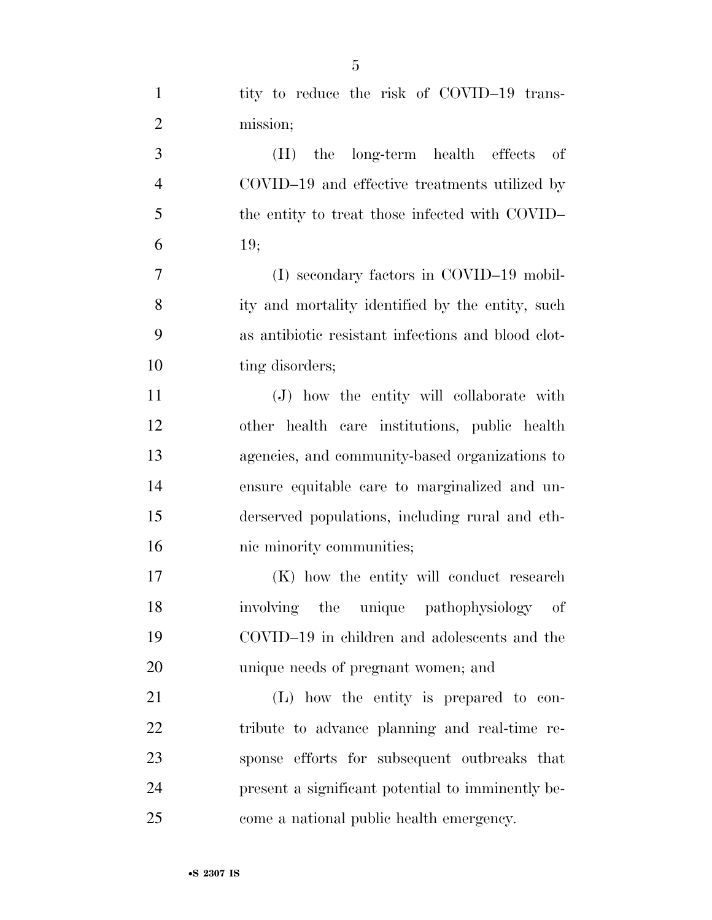| $\mathbf{1}$   | tity to reduce the risk of COVID-19 trans-         |
|----------------|----------------------------------------------------|
| $\overline{2}$ | mission;                                           |
| 3              | the long-term health effects of<br>(H)             |
| $\overline{4}$ | COVID-19 and effective treatments utilized by      |
| 5              | the entity to treat those infected with COVID-     |
| 6              | 19;                                                |
| 7              | (I) secondary factors in COVID-19 mobil-           |
| 8              | ity and mortality identified by the entity, such   |
| 9              | as antibiotic resistant infections and blood clot- |
| 10             | ting disorders;                                    |
| 11             | (J) how the entity will collaborate with           |
| 12             | other health care institutions, public health      |
| 13             | agencies, and community-based organizations to     |
| 14             | ensure equitable care to marginalized and un-      |
| 15             | derserved populations, including rural and eth-    |
| 16             | nic minority communities;                          |
| 17             | (K) how the entity will conduct research           |
| 18             | involving the unique pathophysiology of            |
| 19             | COVID-19 in children and adolescents and the       |
| 20             | unique needs of pregnant women; and                |
| 21             | (L) how the entity is prepared to con-             |
| 22             | tribute to advance planning and real-time re-      |
| 23             | sponse efforts for subsequent outbreaks that       |
| 24             | present a significant potential to imminently be-  |
| 25             | come a national public health emergency.           |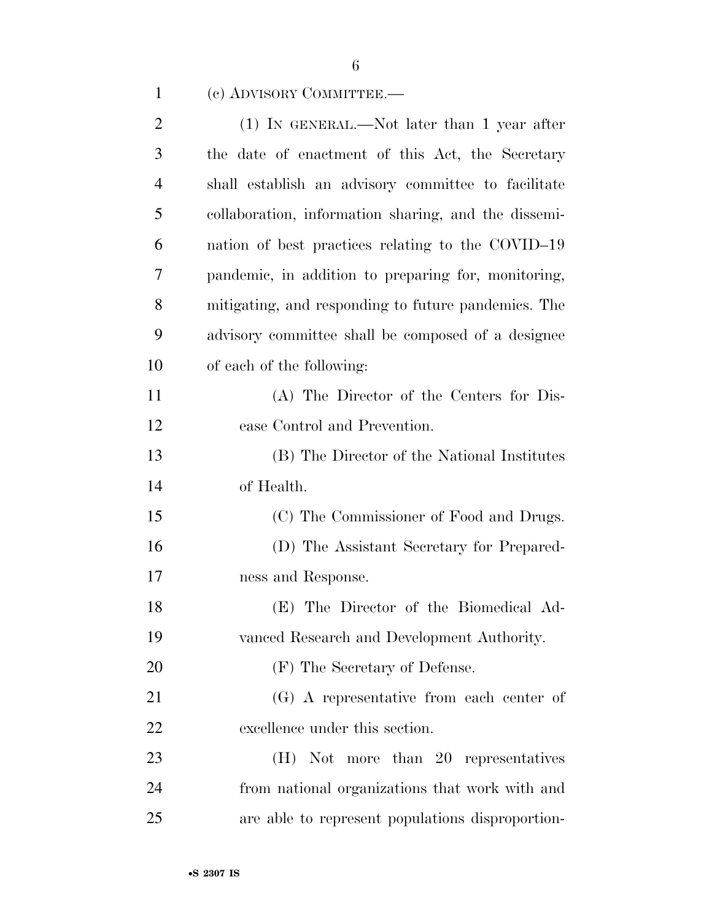| $\overline{2}$ | $(1)$ In GENERAL.—Not later than 1 year after        |
|----------------|------------------------------------------------------|
| 3              | the date of enactment of this Act, the Secretary     |
| $\overline{4}$ | shall establish an advisory committee to facilitate  |
| 5              | collaboration, information sharing, and the dissemi- |
| 6              | nation of best practices relating to the COVID-19    |
| 7              | pandemic, in addition to preparing for, monitoring,  |
| 8              | mitigating, and responding to future pandemics. The  |
| 9              | advisory committee shall be composed of a designee   |
| 10             | of each of the following:                            |
| 11             | (A) The Director of the Centers for Dis-             |
| 12             | ease Control and Prevention.                         |
| 13             | (B) The Director of the National Institutes          |
| 14             | of Health.                                           |
| 15             | (C) The Commissioner of Food and Drugs.              |
| 16             | (D) The Assistant Secretary for Prepared-            |
| 17             | ness and Response.                                   |
| 18             | (E) The Director of the Biomedical Ad-               |
| 19             | vanced Research and Development Authority.           |
| 20             | (F) The Secretary of Defense.                        |
| 21             | (G) A representative from each center of             |
| 22             | excellence under this section.                       |
| 23             | (H) Not more than 20 representatives                 |
| 24             | from national organizations that work with and       |
| 25             | are able to represent populations disproportion-     |

## (c) ADVISORY COMMITTEE.—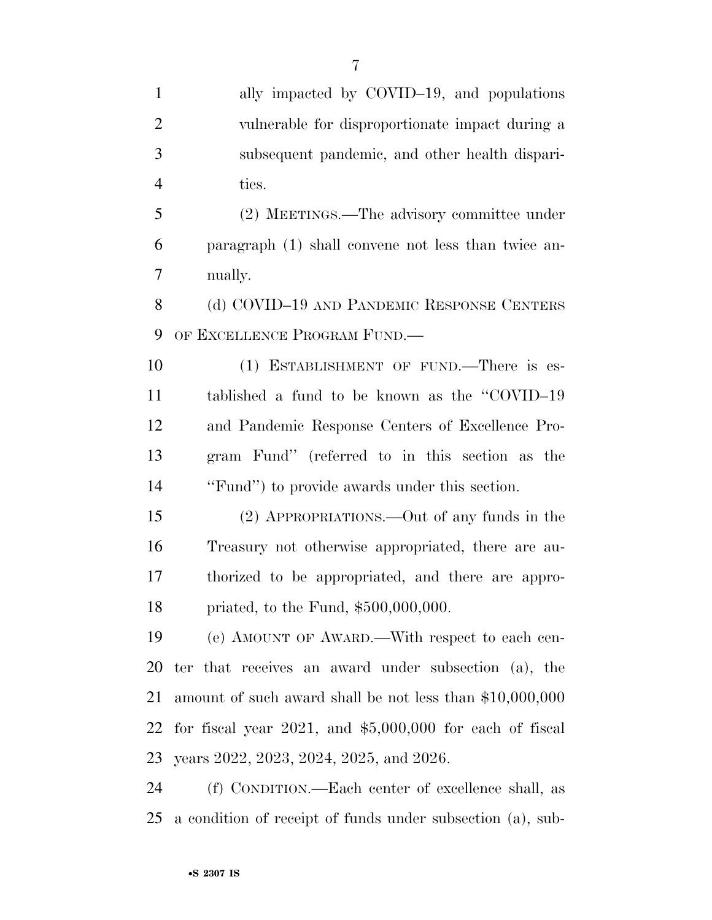| $\mathbf{1}$   | ally impacted by COVID-19, and populations                   |
|----------------|--------------------------------------------------------------|
| $\overline{2}$ | vulnerable for disproportionate impact during a              |
| 3              | subsequent pandemic, and other health dispari-               |
| $\overline{4}$ | ties.                                                        |
| 5              | (2) MEETINGS.—The advisory committee under                   |
| 6              | paragraph (1) shall convene not less than twice an-          |
| 7              | nually.                                                      |
| 8              | (d) COVID-19 AND PANDEMIC RESPONSE CENTERS                   |
| 9              | OF EXCELLENCE PROGRAM FUND.                                  |
| 10             | (1) ESTABLISHMENT OF FUND.—There is es-                      |
| 11             | tablished a fund to be known as the "COVID-19"               |
| 12             | and Pandemic Response Centers of Excellence Pro-             |
| 13             | gram Fund" (referred to in this section as the               |
| 14             | "Fund") to provide awards under this section.                |
| 15             | (2) APPROPRIATIONS.—Out of any funds in the                  |
| 16             | Treasury not otherwise appropriated, there are au-           |
| 17             | thorized to be appropriated, and there are appro-            |
| 18             | priated, to the Fund, $$500,000,000$ .                       |
| 19             | (e) AMOUNT OF AWARD.—With respect to each cen-               |
| 20             | ter that receives an award under subsection (a), the         |
| 21             | amount of such award shall be not less than \$10,000,000     |
| 22             | for fiscal year $2021$ , and $$5,000,000$ for each of fiscal |
| 23             | years 2022, 2023, 2024, 2025, and 2026.                      |

 (f) CONDITION.—Each center of excellence shall, as a condition of receipt of funds under subsection (a), sub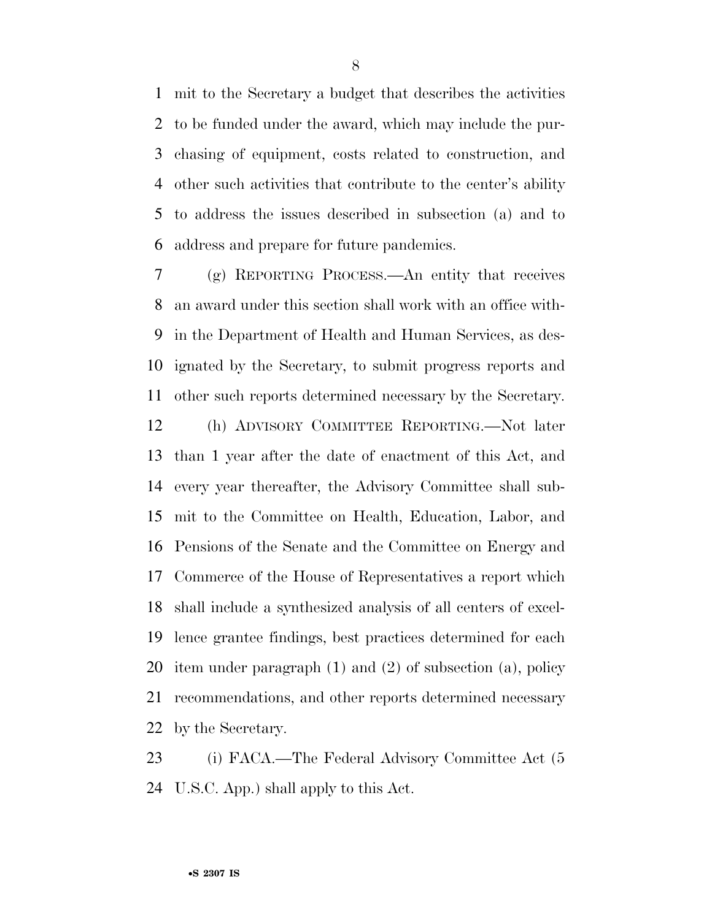mit to the Secretary a budget that describes the activities to be funded under the award, which may include the pur- chasing of equipment, costs related to construction, and other such activities that contribute to the center's ability to address the issues described in subsection (a) and to address and prepare for future pandemics.

 (g) REPORTING PROCESS.—An entity that receives an award under this section shall work with an office with- in the Department of Health and Human Services, as des- ignated by the Secretary, to submit progress reports and other such reports determined necessary by the Secretary. (h) ADVISORY COMMITTEE REPORTING.—Not later than 1 year after the date of enactment of this Act, and every year thereafter, the Advisory Committee shall sub- mit to the Committee on Health, Education, Labor, and Pensions of the Senate and the Committee on Energy and Commerce of the House of Representatives a report which shall include a synthesized analysis of all centers of excel- lence grantee findings, best practices determined for each item under paragraph (1) and (2) of subsection (a), policy recommendations, and other reports determined necessary by the Secretary.

23 (i) FACA.—The Federal Advisory Committee Act (5 U.S.C. App.) shall apply to this Act.